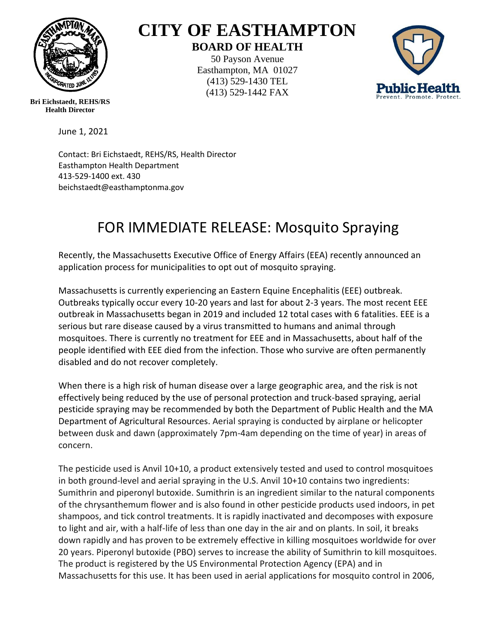

## **CITY OF EASTHAMPTON BOARD OF HEALTH**

50 Payson Avenue Easthampton, MA 01027 (413) 529-1430 TEL (413) 529-1442 FAX



**Bri Eichstaedt, REHS/RS Health Director**

June 1, 2021

Contact: Bri Eichstaedt, REHS/RS, Health Director Easthampton Health Department 413-529-1400 ext. 430 beichstaedt@easthamptonma.gov

## FOR IMMEDIATE RELEASE: Mosquito Spraying

Recently, the Massachusetts Executive Office of Energy Affairs (EEA) recently announced an application process for municipalities to opt out of mosquito spraying.

Massachusetts is currently experiencing an Eastern Equine Encephalitis (EEE) outbreak. Outbreaks typically occur every 10-20 years and last for about 2-3 years. The most recent EEE outbreak in Massachusetts began in 2019 and included 12 total cases with 6 fatalities. EEE is a serious but rare disease caused by a virus transmitted to humans and animal through mosquitoes. There is currently no treatment for EEE and in Massachusetts, about half of the people identified with EEE died from the infection. Those who survive are often permanently disabled and do not recover completely.

When there is a high risk of human disease over a large geographic area, and the risk is not effectively being reduced by the use of personal protection and truck-based spraying, aerial pesticide spraying may be recommended by both the Department of Public Health and the MA Department of Agricultural Resources. Aerial spraying is conducted by airplane or helicopter between dusk and dawn (approximately 7pm-4am depending on the time of year) in areas of concern.

The pesticide used is Anvil 10+10, a product extensively tested and used to control mosquitoes in both ground-level and aerial spraying in the U.S. Anvil 10+10 contains two ingredients: Sumithrin and piperonyl butoxide. Sumithrin is an ingredient similar to the natural components of the chrysanthemum flower and is also found in other pesticide products used indoors, in pet shampoos, and tick control treatments. It is rapidly inactivated and decomposes with exposure to light and air, with a half-life of less than one day in the air and on plants. In soil, it breaks down rapidly and has proven to be extremely effective in killing mosquitoes worldwide for over 20 years. Piperonyl butoxide (PBO) serves to increase the ability of Sumithrin to kill mosquitoes. The product is registered by the US Environmental Protection Agency (EPA) and in Massachusetts for this use. It has been used in aerial applications for mosquito control in 2006,